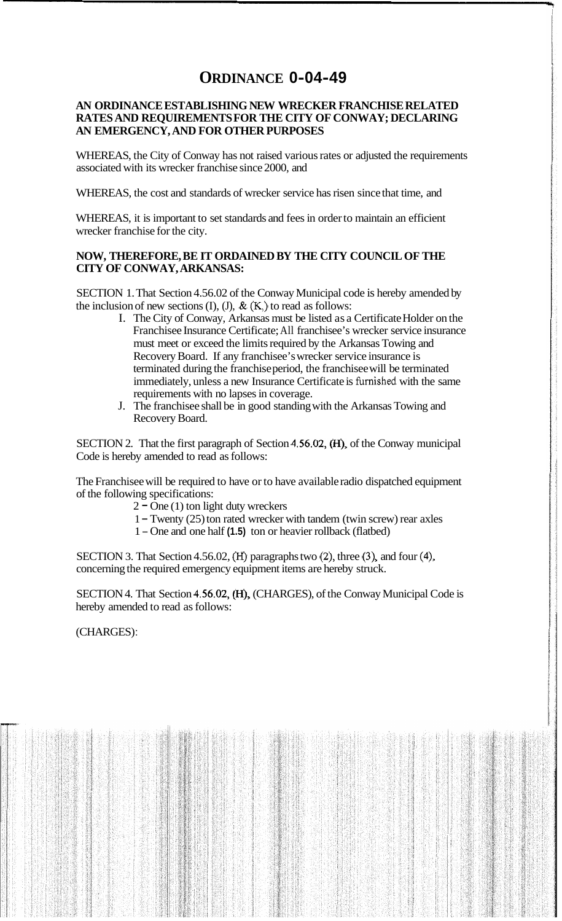## **ORDINANCE 0-04-49**

## **AN ORDINANCE ESTABLISHING NEW WRECKER FRANCHISE RELATED RATES AND REQUIREMENTS FOR THE CITY OF CONWAY; DECLARING AN EMERGENCY, AND FOR OTHER PURPOSES**

WHEREAS, the City of Conway has not raised various rates or adjusted the requirements associated with its wrecker franchise since 2000, and

WHEREAS, the cost and standards of wrecker service has risen since that time, and

WHEREAS, it is important to set standards and fees in order to maintain an efficient wrecker franchise for the city.

## **NOW, THEREFORE, BE IT ORDAINED BY THE CITY COUNCIL OF THE CITY OF CONWAY, ARKANSAS:**

SECTION 1. That Section 4.56.02 of the Conway Municipal code is hereby amended by the inclusion of new sections (I), (J),  $\&$  (K,) to read as follows:

- I. The City of Conway, Arkansas must be listed as a Certificate Holder on the Franchisee Insurance Certificate; All franchisee's wrecker service insurance must meet or exceed the limits required by the Arkansas Towing and Recovery Board. If any franchisee's wrecker service insurance is terminated during the franchise period, the franchisee will be terminated immediately, unless a new Insurance Certificate is furnished with the same requirements with no lapses in coverage.
- J. The franchisee shall be in good standing with the Arkansas Towing and Recovery Board.

SECTION 2. That the first paragraph of Section  $4.56.02$ ,  $(H)$ , of the Conway municipal Code is hereby amended to read as follows:

The Franchisee will be required to have or to have available radio dispatched equipment of the following specifications:

- $2 One(1)$  ton light duty wreckers
- <sup>1</sup> Twenty (25) ton rated wrecker with tandem (twin screw) rear axles
- <sup>1</sup> One and one half **(1.5)** ton or heavier rollback (flatbed)

SECTION 3. That Section 4.56.02, **(H)** paragraphs two (2), three **(3),** and four **(4),**  concerning the required emergency equipment items are hereby struck.

SECTION 4. That Section 4.56.02, (H), (CHARGES), of the Conway Municipal Code is hereby amended to read as follows:

(CHARGES) :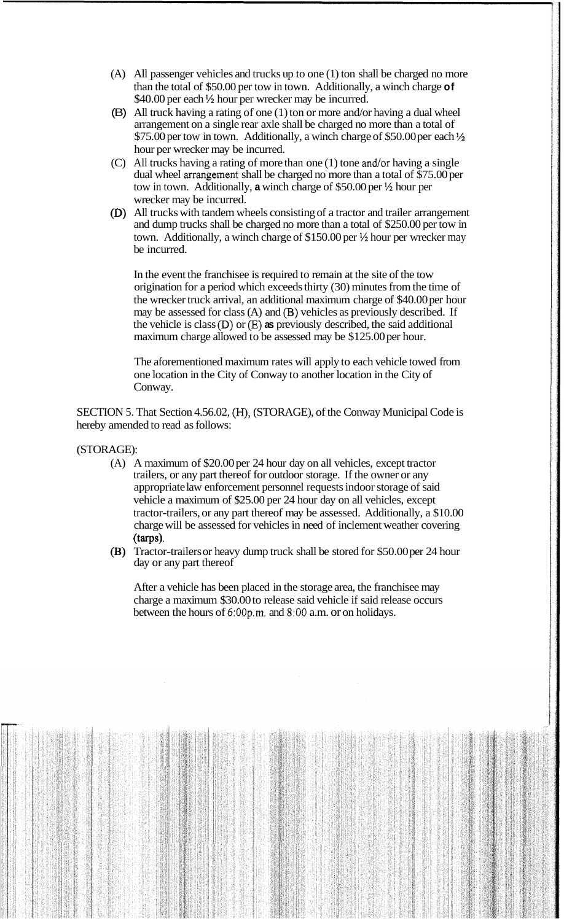- (A) All passenger vehicles and trucks up to one (1) ton shall be charged no more than the total of \$50.00 per tow in town. Additionally, a winch charge **of**  \$40.00 per each  $\frac{1}{2}$  hour per wrecker may be incurred.
- (B) All truck having a rating of one (1) ton or more and/or having a dual wheel arrangement on a single rear axle shall be charged no more than a total of \$75.00 per tow in town. Additionally, a winch charge of \$50.00 per each  $\frac{1}{2}$ hour per wrecker may be incurred.
- (C) All trucks having a rating of more than one (1) tone and/or having a single dual wheel arrangement shall be charged no more than a total of \$75.00 per tow in town. Additionally, **a** winch charge of \$50.00 per  $\frac{1}{2}$  hour per wrecker may be incurred.
- (D) All trucks with tandem wheels consisting of a tractor and trailer arrangement and dump trucks shall be charged no more than a total of \$250.00 per tow in town. Additionally, a winch charge of  $$150.00$  per  $\frac{1}{2}$  hour per wrecker may be incurred.

In the event the franchisee is required to remain at the site of the tow origination for a period which exceeds thirty (30) minutes from the time of the wrecker truck arrival, an additional maximum charge of \$40.00 per hour may be assessed for class  $(A)$  and  $(B)$  vehicles as previously described. If the vehicle is class  $(D)$  or  $(E)$  **as** previously described, the said additional maximum charge allowed to be assessed may be \$125.00 per hour.

The aforementioned maximum rates will apply to each vehicle towed from one location in the City of Conway to another location in the City of Conway.

SECTION 5. That Section 4.56.02, (H), (STORAGE), of the Conway Municipal Code is hereby amended to read as follows:

## (STORAGE):

- (A) A maximum of \$20.00 per 24 hour day on all vehicles, except tractor trailers, or any part thereof for outdoor storage. If the owner or any appropriate law enforcement personnel requests indoor storage of said vehicle a maximum of \$25.00 per 24 hour day on all vehicles, except tractor-trailers, or any part thereof may be assessed. Additionally, a \$10.00 charge will be assessed for vehicles in need of inclement weather covering (tarps).
- (B) Tractor-trailers or heavy dump truck shall be stored for \$50.00 per 24 hour day or any part thereof

After a vehicle has been placed in the storage area, the franchisee may charge a maximum \$30.00 to release said vehicle if said release occurs between the hours of 6:OOp.m. and **8:OO** a.m. or on holidays.